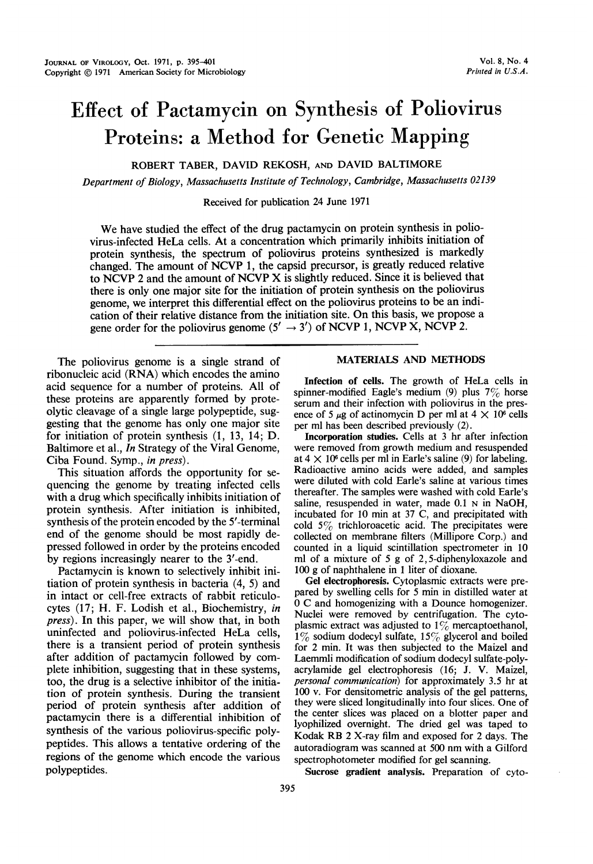# Effect of Pactamycin on Synthesis of Poliovirus Proteins: a Method for Genetic Mapping

ROBERT TABER, DAVID REKOSH, AND DAVID BALTIMORE

Department of Biology, Massachusetts Institute of Technology, Cambridge, Massachusetts 02139

Received for publication 24 June 1971

We have studied the effect of the drug pactamycin on protein synthesis in poliovirus-infected HeLa cells. At a concentration which primarily inhibits initiation of protein synthesis, the spectrum of poliovirus proteins synthesized is markedly changed. The amount of NCVP 1, the capsid precursor, is greatly reduced relative to NCVP <sup>2</sup> and the amount of NCVP X is slightly reduced. Since it is believed that there is only one major site for the initiation of protein synthesis on the poliovirus genome, we interpret this differential effect on the poliovirus proteins to be an indication of their relative distance from the initiation site. On this basis, we propose <sup>a</sup> gene order for the poliovirus genome (5'  $\rightarrow$  3') of NCVP 1, NCVP X, NCVP 2.

The poliovirus genome is a single strand of ribonucleic acid (RNA) which encodes the amino acid sequence for a number of proteins. All of these proteins are apparently formed by proteolytic cleavage of a single large polypeptide, suggesting that the genome has only one major site for initiation of protein synthesis (1, 13, 14; D. Baltimore et al., In Strategy of the Viral Genome, Ciba Found. Symp., in press).

This situation affords the opportunity for sequencing the genome by treating infected cells with a drug which specifically inhibits initiation of protein synthesis. After initiation is inhibited, synthesis of the protein encoded by the 5'-terminal end of the genome should be most rapidly depressed followed in order by the proteins encoded by regions increasingly nearer to the 3'-end.

Pactamycin is known to selectively inhibit initiation of protein synthesis in bacteria (4, 5) and in intact or cell-free extracts of rabbit reticulocytes (17; H. F. Lodish et al., Biochemistry, in press). In this paper, we will show that, in both uninfected and poliovirus-infected HeLa cells, there is a transient period of protein synthesis after addition of pactamycin followed by complete inhibition, suggesting that in these systems, too, the drug is a selective inhibitor of the initiation of protein synthesis. During the transient period of protein synthesis after addition of pactamycin there is a differential inhibition of synthesis of the various poliovirus-specific polypeptides. This allows a tentative ordering of the regions of the genome which encode the various polypeptides.

## MATERIALS AND METHODS

Infection of cells. The growth of HeLa cells in spinner-modified Eagle's medium (9) plus  $7\%$  horse serum and their infection with poliovirus in the presence of 5  $\mu$ g of actinomycin D per ml at 4  $\times$  10<sup>6</sup> cells per ml has been described previously (2).

Incorporation studies. Cells at 3 hr after infection were removed from growth medium and resuspended at  $4 \times 10^6$  cells per ml in Earle's saline (9) for labeling. Radioactive amino acids were added, and samples were diluted with cold Earle's saline at various times thereafter. The samples were washed with cold Earle's saline, resuspended in water, made 0.1 N in NaOH, incubated for 10 min at 37 C, and precipitated with cold 5% trichloroacetic acid. The precipitates were collected on membrane filters (Millipore Corp.) and counted in a liquid scintillation spectrometer in 10 ml of a mixture of 5 g of 2,5-diphenyloxazole and 100 g of naphthalene in <sup>1</sup> liter of dioxane.

Gel electrophoresis. Cytoplasmic extracts were prepared by swelling cells for 5 min in distilled water at 0 C and homogenizing with <sup>a</sup> Dounce homogenizer. Nuclei were removed by centrifugation. The cytoplasmic extract was adjusted to  $1\%$  mercaptoethanol,  $1\%$  sodium dodecyl sulfate,  $15\%$  glycerol and boiled for 2 min. It was then subjected to the Maizel and Laemmli modification of sodium dodecyl sulfate-polyacrylamide gel electrophoresis (16; J. V. Maizel, personal communication) for approximately 3.5 hr at 100 v. For densitometric analysis of the gel patterns, they were sliced longitudinally into four slices. One of the center slices was placed on a blotter paper and lyophilized overnight. The dried gel was taped to Kodak RB <sup>2</sup> X-ray film and exposed for <sup>2</sup> days. The autoradiogram was scanned at 500 nm with <sup>a</sup> Gilford spectrophotometer modified for gel scanning.

Sucrose gradient analysis. Preparation of cyto-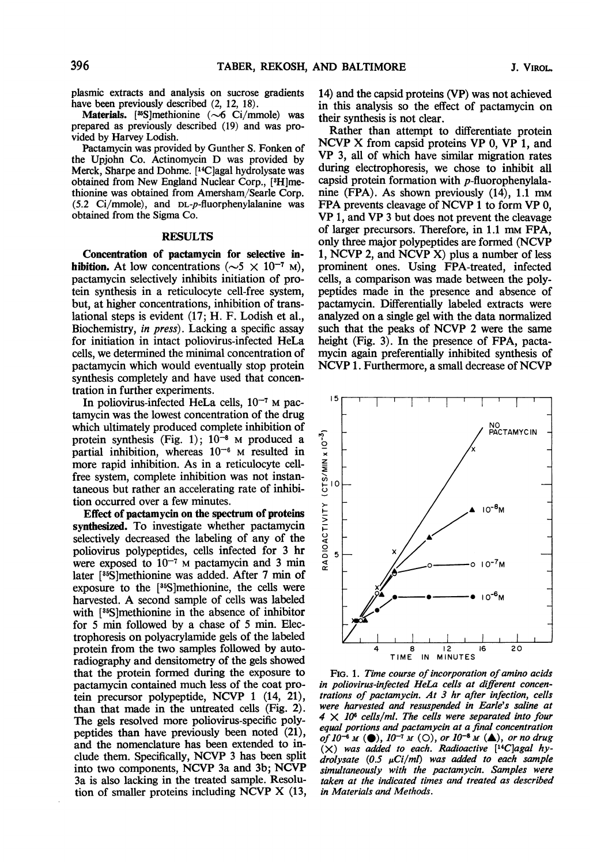plasmic extracts and analysis on sucrose gradients have been previously described  $(2, 12, 18)$ .

Materials. [35]methionine  $(\sim 6 \text{ Ci/mm})$  was prepared as previously described (19) and was provided by Harvey Lodish.

Pactamycin was provided by Gunther S. Fonken of the Upjohn Co. Actinomycin D was provided by Merck, Sharpe and Dohme. [14C]agal hydrolysate was obtained from New England Nuclear Corp., [3H]methionine was obtained from Amersham/Searle Corp. (5.2 Ci/mmole), and DL-p-fluorphenylalanine was obtained from the Sigma Co.

## RESULTS

Concentration of pactamycin for selective inhibition. At low concentrations ( $\sim$ 5  $\times$  10<sup>-7</sup> M), pactamycin selectively inhibits initiation of protein synthesis in a reticulocyte cell-free system, but, at higher concentrations, inhibition of translational steps is evident (17; H. F. Lodish et al., Biochemistry, in press). Lacking a specific assay for initiation in intact poliovirus-infected HeLa cells, we determined the minimal concentration of pactamycin which would eventually stop protein synthesis completely and have used that concentration in further experiments.

In poliovirus-infected HeLa cells,  $10^{-7}$  M pactamycin was the lowest concentration of the drug which ultimately produced complete inhibition of protein synthesis (Fig. 1);  $10^{-8}$  M produced a partial inhibition, whereas  $10^{-6}$  M resulted in more rapid inhibition. As in a reticulocyte cellfree system, complete inhibition was not instantaneous but rather an accelerating rate of inhibition occurred over a few minutes.

Effect of pactamycin on the spectrum of proteins synthesized. To investigate whether pactamycin selectively decreased the labeling of any of the poliovirus polypeptides, cells infected for 3 hr were exposed to  $10^{-7}$  M pactamycin and 3 min later [35S]methionine was added. After 7 min of exposure to the [35S]methionine, the cells were harvested. A second sample of cells was labeled with [35S]methionine in the absence of inhibitor for 5 min followed by a chase of 5 min. Electrophoresis on polyacrylamide gels of the labeled protein from the two samples followed by autoradiography and densitometry of the gels showed that the protein formed during the exposure to pactamycin contained much less of the coat protein precursor polypeptide, NCVP <sup>1</sup> (14, 21), than that made in the untreated cells (Fig. 2). The gels resolved more poliovirus-specific polypeptides than have previously been noted (21), and the nomenclature has been extended to include them. Specifically, NCVP <sup>3</sup> has been split into two components, NCVP 3a and 3b; NCVP 3a is also lacking in the treated sample. Resolution of smaller proteins including NCVP X (13,

14) and the capsid proteins (VP) was not achieved in this analysis so the effect of pactamycin on their synthesis is not clear.

Rather than attempt to differentiate protein NCVP X from capsid proteins VP 0, VP 1, and VP 3, all of which have similar migration rates during electrophoresis, we chose to inhibit all capsid protein formation with  $p$ -fluorophenylalanine (FPA). As shown previously (14), 1.1 mm FPA prevents cleavage of NCVP <sup>1</sup> to form VP 0, VP 1, and VP <sup>3</sup> but does not prevent the cleavage of larger precursors. Therefore, in 1.1 mm FPA, only three major polypeptides are formed (NCVP 1, NCVP 2, and NCVP X) plus <sup>a</sup> number of less prominent ones. Using FPA-treated, infected cells, a comparison was made between the polypeptides made in the presence and absence of pactamycin. Differentially labeled extracts were analyzed on a single gel with the data normalized such that the peaks of NCVP <sup>2</sup> were the same height (Fig. 3). In the presence of FPA, pactamycin again preferentially inhibited synthesis of NCVP 1. Furthermore, <sup>a</sup> small decrease of NCVP



FIG. 1. Time course of incorporation of amino acids in poliovirus-infected HeLa cells at different concentrations of pactamycin. At 3 hr after infection, cells were harvested and resuspended in Earle's saline at  $4 \times 10^6$  cells/ml. The cells were separated into four equal portions and pactamycin at a final concentration of  $10^{-6}$  M ( $\bullet$ ),  $10^{-7}$  M ( $\circ$ ), or  $10^{-8}$  M ( $\bullet$ ), or no drug  $(X)$  was added to each. Radioactive [<sup>14</sup>C]agal hydrolysate  $(0.5 \mu Ci/ml)$  was added to each sample simultaneously with the pactamycin. Samples were taken at the indicated times and treated as described in Materials and Methods.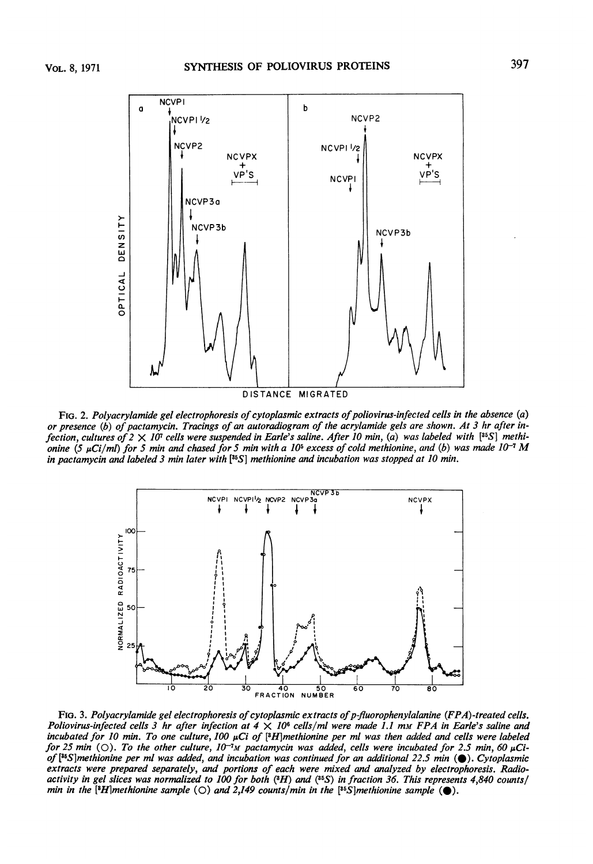

FIG. 2. Polyacrylamide gel electrophoresis of cytoplasmic extracts of poliovirus-infected cells in the absence (a) or presence (b) of pactamycin. Tracings of an autoradiogram of the acrylamide gels are shown. At 3 hr after infection, cultures of  $2 \times 10^7$  cells were suspended in Earle's saline. After 10 min, (a) was labeled with [35S] methionine (5  $\mu$ Ci/ml) for 5 min and chased for 5 min with a 10<sup>5</sup> excess of cold methionine, and (b) was made 10<sup>-1</sup> M in pactamycin and labeled 3 min later with  $[355]$  methionine and incubation was stopped at 10 min.



 $\begin{array}{r|l}\n\hline\n\text{Ric}_1\text{Ric}_2\text{Ric}_3\text{Ric}_4\text{Ric}_5\text{Ric}_6\text{Ric}_7\text{Ric}_8\text{Ric}_7\text{Ric}_8\text{Ric}_8\text{Ric}_8\text{Ric}_8\text{Ric}_8\text{Ric}_8\text{Ric}_8\text{Ric}_8\text{Ric}_8\text{Ric}_8\text{Ric}_8\text{Ric}_8\text{Ric}_8\text{Ric}_8\text{Ric}_8\text{Ric}_8\text{Ric}_8\text{Ric}_8\text{Ric}_8\text{Ric}_8\text{$ FIG. 3. Polyacrylamide gel electrophoresis of cytoplasmic extracts of p-fluorophenylalanine (FPA)-treated cells. Poliovirus-infected cells 3 hr after infection at  $4 \times 10^6$  cells/ml were made 1.1 mm FPA in Earle's saline and incubated for 10 min. To one culture, 100  $\mu$ Ci of [3H]methionine per ml was then added and cells were labeled for 25 min ( $\circ$ ). To the other culture, 10<sup>-i</sup>M pactamycin was added, cells were incubated for 2.5 min, 60  $\mu$ Ciof  $[35S]$ methionine per ml was added, and incubation was continued for an additional 22.5 min ( $\bullet$ ). Cytoplasmic extracts were prepared separately, and portions of each were mixed and analyzed by electrophoresis. Radioactivity in gel slices was normalized to 100 for both  $(3H)$  and  $(35S)$  in fraction 36. This represents 4,840 counts/ min in the [3H]methionine sample (O) and 2,149 counts/min in the [35S]methionine sample ( $\bullet$ ).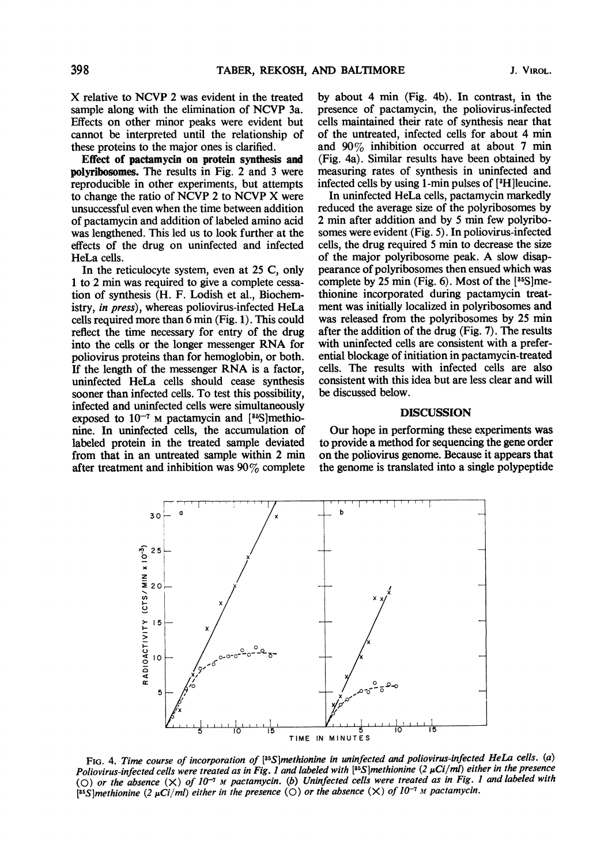X relative to NCVP <sup>2</sup> was evident in the treated sample along with the elimination of NCVP 3a. Effects on other minor peaks were evident but cannot be interpreted until the relationship of these proteins to the major ones is clarified.

Effect of pactamycin on protein synthesis and polyribosomes. The results in Fig. 2 and 3 were reproducible in other experiments, but attempts to change the ratio of NCVP <sup>2</sup> to NCVP X were unsuccessful even when the time between addition of pactamycin and addition of labeled amino acid was lengthened. This led us to look further at the effects of the drug on uninfected and infected HeLa cells.

In the reticulocyte system, even at 25 C, only <sup>1</sup> to 2 min was required to give a complete cessation of synthesis (H. F. Lodish et al., Biochemistry, in press), whereas poliovirus-infected HeLa cells required more than 6 min (Fig. 1). This could reflect the time necessary for entry of the drug into the cells or the longer messenger RNA for poliovirus proteins than for hemoglobin, or both. If the length of the messenger RNA is <sup>a</sup> factor, uninfected HeLa cells should cease synthesis sooner than infected cells. To test this possibility, infected and uninfected cells were simultaneously exposed to  $10^{-7}$  M pactamycin and  $[35]$ methionine. In uninfected cells, the accumulation of labeled protein in the treated sample deviated from that in an untreated sample within 2 min after treatment and inhibition was 90% complete by about 4 min (Fig. 4b). In contrast, in the presence of pactamycin, the poliovirus-infected cells maintained their rate of synthesis near that of the untreated, infected cells for about 4 min and 90% inhibition occurred at about <sup>7</sup> min (Fig. 4a). Similar results have been obtained by measuring rates of synthesis in uninfected and infected cells by using 1-min pulses of [3H]leucine.

In uninfected HeLa cells, pactamycin markedly reduced the average size of the polyribosomes by 2 min after addition and by <sup>5</sup> min few polyribosomes were evident (Fig. 5). In poliovirus-infected cells, the drug required 5 min to decrease the size of the major polyribosome peak. A slow disappearance of polyribosomes then ensued which was complete by 25 min (Fig. 6). Most of the  $[35S]$ methionine incorporated during pactamycin treatment was initially localized in polyribosomes and was released from the polyribosomes by 25 min after the addition of the drug (Fig. 7). The results with uninfected cells are consistent with a preferential blockage of initiation in pactamycin-treated cells. The results with infected cells are also consistent with this idea but are less clear and will be discussed below.

## **DISCUSSION**

Our hope in performing these experiments was to provide a method for sequencing the gene order on the poliovirus genome. Because it appears that the genome is translated into a single polypeptide



FIG. 4. Time course of incorporation of [35S]methionine in uninfected and poliovirus-infected HeLa cells. (a) Poliovirus-infected cells were treated as in Fig. 1 and labeled with [ $85$ ]methionine (2  $\mu$ Ci/mI) either in the presence (O) or the absence  $(X)$  of  $10^{-7}$  M pactamycin. (b) Uninfected cells were treated as in Fig. 1 and labeled with [35S]methionine (2  $\mu$ Ci/ml) either in the presence (O) or the absence (X) of  $10^{-7}$  M pactamycin.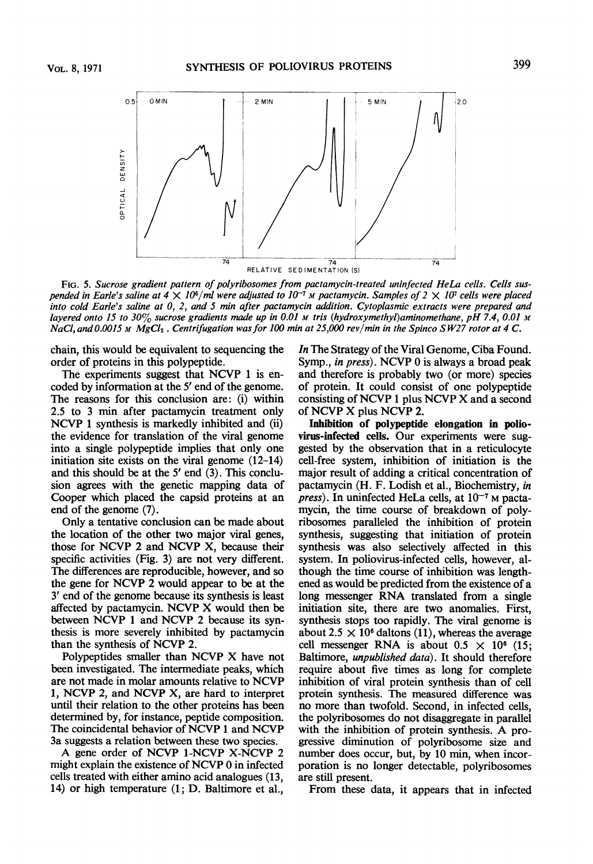

FIG. 5. Sucrose gradient pattern of polyribosomes from pactamycin-treated uninfected HeLa cells. Cells suspended in Earle's saline at  $4 \times 10^6$ /ml were adjusted to  $10^{-7}$  M pactamycin. Samples of  $2 \times 10^7$  cells were placed into cold Earle's saline at 0, 2, and 5 min after pactamycin addition. Cytoplasmic extracts were prepared and layered onto 15 to 30% sucrose gradients made up in 0.01 M tris (hydroxymethyl)aminomethane, pH 7.4, 0.01 M NaCl, and 0.0015 M MgCl<sub>2</sub>. Centrifugation was for 100 min at 25,000 rev/min in the Spinco SW27 rotor at 4 C.

chain, this would be equivalent to sequencing the order of proteins in this polypeptide.

The experiments suggest that NCVP 1 is encoded by information at the <sup>5</sup>' end of the genome. The reasons for this conclusion are: (i) within 2.5 to 3 min after pactamycin treatment only NCVP <sup>1</sup> synthesis is markedly inhibited and (ii) the evidence for translation of the viral genome into a single polypeptide implies that only one initiation site exists on the viral genome (12-14) and this should be at the <sup>5</sup>' end (3). This conclusion agrees with the genetic mapping data of Cooper which placed the capsid proteins at an end of the genome (7).

Only a tentative conclusion can be made about the location of the other two major viral genes, those for NCVP <sup>2</sup> and NCVP X, because their specific activities (Fig. 3) are not very different. The differences are reproducible, however, and so the gene for NCVP <sup>2</sup> would appear to be at the <sup>3</sup>' end of the genome because its synthesis is least affected by pactamycin. NCVP X would then be between NCVP <sup>1</sup> and NCVP <sup>2</sup> because its synthesis is more severely inhibited by pactamycin than the synthesis of NCVP 2.

Polypeptides smaller than NCVP X have not been investigated. The intermediate peaks, which are not made in molar amounts relative to NCVP 1, NCVP 2, and NCVP X, are hard to interpret until their relation to the other proteins has been determined by, for instance, peptide composition. The coincidental behavior of NCVP <sup>1</sup> and NCVP 3a suggests a relation between these two species.

A gene order of NCVP 1-NCVP X-NCVP <sup>2</sup> might explain the existence of NCVP <sup>0</sup> in infected cells treated with either amino acid analogues (13, 14) or high temperature (1; D. Baltimore et al.,

In The Strategy of the Viral Genome, Ciba Found. Symp., in press). NCVP <sup>0</sup> is always <sup>a</sup> broad peak and therefore is probably two (or more) species of protein. It could consist of one polypeptide consisting of NCVP <sup>1</sup> plus NCVP X and <sup>a</sup> second of NCVP X plus NCVP 2.

Inhibition of polypeptide elongation in poliovirus-infected cells. Our experiments were suggested by the observation that in a reticulocyte cell-free system, inhibition of initiation is the major result of adding a critical concentration of pactamycin (H. F. Lodish et al., Biochemistry, in press). In uninfected HeLa cells, at  $10^{-7}$  M pactamycin, the time course of breakdown of polyribosomes paralleled the inhibition of protein synthesis, suggesting that initiation of protein synthesis was also selectively affected in this system. In poliovirus-infected cells, however, although the time course of inhibition was lengthened as would be predicted from the existence of a long messenger RNA translated from <sup>a</sup> single initiation site, there are two anomalies. First, synthesis stops too rapidly. The viral genome is about 2.5  $\times$  10<sup>6</sup> daltons (11), whereas the average cell messenger RNA is about  $0.5 \times 10^6$  (15; Baltimore, unpublished data). It should therefore require about five times as long for complete inhibition of viral protein synthesis than of cell protein synthesis. The measured difference was no more than twofold. Second, in infected cells, the polyribosomes do not disaggregate in parallel with the inhibition of protein synthesis. A progressive diminution of polyribosome size and number does occur, but, by 10 min, when incorporation is no longer detectable, polyribosomes are still present.

From these data, it appears that in infected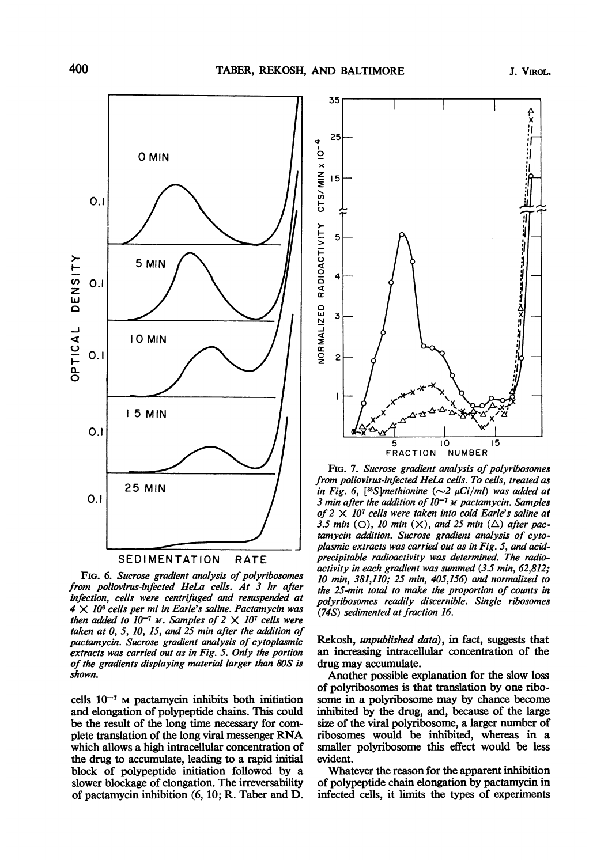

FIG. 6. Sucrose gradient analysis of polyribosomes from poliovirus-infected HeLa cells. At 3 hr after infection, cells were centrifuged and resuspended at  $4 \times 10^6$  cells per ml in Earle's saline. Pactamycin was then added to  $10^{-7}$  M. Samples of  $2 \times 10^{7}$  cells were taken at 0, 5, 10, 15, and 25 min after the addition of pactamycin. Sucrose gradient analysis of cytoplasmic extracts was carried out as in Fig. 5. Only the portion of the gradients displaying material larger than 80S is shown.

cells  $10^{-7}$  M pactamycin inhibits both initiation and elongation of polypeptide chains. This could be the result of the long time necessary for complete translation of the long viral messenger RNA which allows a high intracellular concentration of the drug to accumulate, leading to a rapid initial block of polypeptide initiation followed by a slower blockage of elongation. The irreversability of pactamycin inhibition (6, 10; R. Taber and D.



FIG. 7. Sucrose gradient analysis of polyribosomes from poliovirus-infected HeLa cells. To cells, treated as in Fig. 6, [<sup>35</sup>S]methionine  $(\sim]2 \mu$ Ci/ml] was added at 3 min after the addition of  $10^{-7}$  M pactamycin. Samples of  $2 \times 10^7$  cells were taken into cold Earle's saline at 3.5 min (O), 10 min  $(X)$ , and 25 min  $(\triangle)$  after pactamycin addition. Sucrose gradient analysis of cytoplasmic extracts was carried out as in Fig. 5, and acidprecipitable radioactivity was determined. The radioactivity in each gradient was summed (3.5 min, 62,812; 10 min, 381,110; 25 min, 405,156) and normalized to the 25-min total to make the proportion of counts in polyribosomes readily discernible. Single ribosomes (74S) sedimented at fraction 16.

Rekosh, unpublished data), in fact, suggests that an increasing intracellular concentration of the drug may accumulate.

Another possible explanation for the slow loss of polyribosomes is that translation by one ribosome in a polyribosome may by chance become inhibited by the drug, and, because of the large size of the viral polyribosome, a larger number of ribosomes would be inhibited, whereas in a smaller polyribosome this effect would be less evident.

Whatever the reason for the apparent inhibition of polypeptide chain elongation by pactamycin in infected cells, it limits the types of experiments